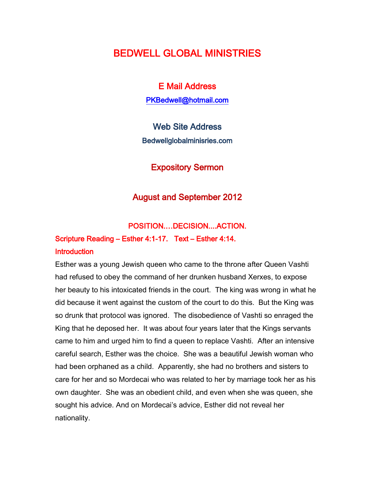# BEDWELL GLOBAL MINISTRIES

E Mail Address [PKBedwell@hotmail.com](mailto:PKBedwell@hotmail.com) 

Web Site Address Bedwellglobalminisries.com

Expository Sermon

### August and September 2012

### POSITION.…DECISION....ACTION.

## Scripture Reading – Esther 4:1-17. Text – Esther 4:14. **Introduction**

Esther was a young Jewish queen who came to the throne after Queen Vashti had refused to obey the command of her drunken husband Xerxes, to expose her beauty to his intoxicated friends in the court. The king was wrong in what he did because it went against the custom of the court to do this. But the King was so drunk that protocol was ignored. The disobedience of Vashti so enraged the King that he deposed her. It was about four years later that the Kings servants came to him and urged him to find a queen to replace Vashti. After an intensive careful search, Esther was the choice. She was a beautiful Jewish woman who had been orphaned as a child. Apparently, she had no brothers and sisters to care for her and so Mordecai who was related to her by marriage took her as his own daughter. She was an obedient child, and even when she was queen, she sought his advice. And on Mordecai's advice, Esther did not reveal her nationality.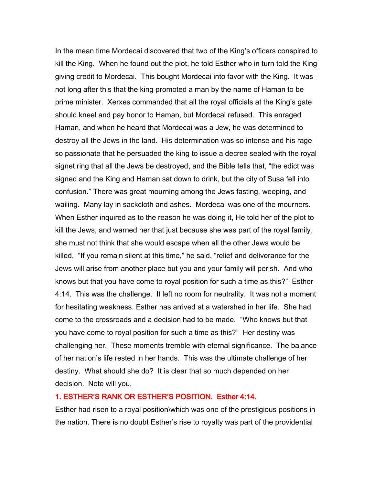In the mean time Mordecai discovered that two of the King's officers conspired to kill the King. When he found out the plot, he told Esther who in turn told the King giving credit to Mordecai. This bought Mordecai into favor with the King. It was not long after this that the king promoted a man by the name of Haman to be prime minister. Xerxes commanded that all the royal officials at the King's gate should kneel and pay honor to Haman, but Mordecai refused. This enraged Haman, and when he heard that Mordecai was a Jew, he was determined to destroy all the Jews in the land. His determination was so intense and his rage so passionate that he persuaded the king to issue a decree sealed with the royal signet ring that all the Jews be destroyed, and the Bible tells that, "the edict was signed and the King and Haman sat down to drink, but the city of Susa fell into confusion." There was great mourning among the Jews fasting, weeping, and wailing. Many lay in sackcloth and ashes. Mordecai was one of the mourners. When Esther inquired as to the reason he was doing it, He told her of the plot to kill the Jews, and warned her that just because she was part of the royal family, she must not think that she would escape when all the other Jews would be killed. "If you remain silent at this time," he said, "relief and deliverance for the Jews will arise from another place but you and your family will perish. And who knows but that you have come to royal position for such a time as this?" Esther 4:14. This was the challenge. It left no room for neutrality. It was not a moment for hesitating weakness. Esther has arrived at a watershed in her life. She had come to the crossroads and a decision had to be made. "Who knows but that you have come to royal position for such a time as this?" Her destiny was challenging her. These moments tremble with eternal significance. The balance of her nation's life rested in her hands. This was the ultimate challenge of her destiny. What should she do? It is clear that so much depended on her decision. Note will you,

#### 1. ESTHER'S RANK OR ESTHER'S POSITION. Esther 4:14.

Esther had risen to a royal position\which was one of the prestigious positions in the nation. There is no doubt Esther's rise to royalty was part of the providential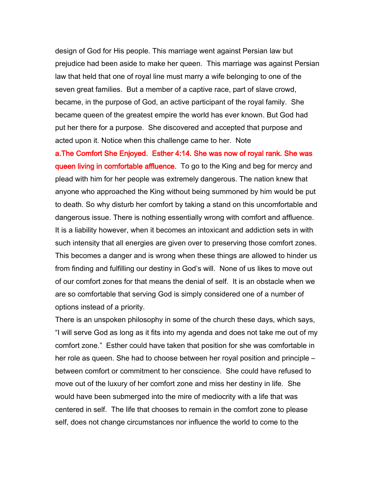design of God for His people. This marriage went against Persian law but prejudice had been aside to make her queen. This marriage was against Persian law that held that one of royal line must marry a wife belonging to one of the seven great families. But a member of a captive race, part of slave crowd, became, in the purpose of God, an active participant of the royal family. She became queen of the greatest empire the world has ever known. But God had put her there for a purpose. She discovered and accepted that purpose and acted upon it. Notice when this challenge came to her. Note

a.The Comfort She Enjoyed. Esther 4:14. She was now of royal rank. She was queen living in comfortable affluence. To go to the King and beg for mercy and plead with him for her people was extremely dangerous. The nation knew that anyone who approached the King without being summoned by him would be put to death. So why disturb her comfort by taking a stand on this uncomfortable and dangerous issue. There is nothing essentially wrong with comfort and affluence. It is a liability however, when it becomes an intoxicant and addiction sets in with such intensity that all energies are given over to preserving those comfort zones. This becomes a danger and is wrong when these things are allowed to hinder us from finding and fulfilling our destiny in God's will. None of us likes to move out of our comfort zones for that means the denial of self. It is an obstacle when we are so comfortable that serving God is simply considered one of a number of options instead of a priority.

There is an unspoken philosophy in some of the church these days, which says, "I will serve God as long as it fits into my agenda and does not take me out of my comfort zone." Esther could have taken that position for she was comfortable in her role as queen. She had to choose between her royal position and principle – between comfort or commitment to her conscience. She could have refused to move out of the luxury of her comfort zone and miss her destiny in life. She would have been submerged into the mire of mediocrity with a life that was centered in self. The life that chooses to remain in the comfort zone to please self, does not change circumstances nor influence the world to come to the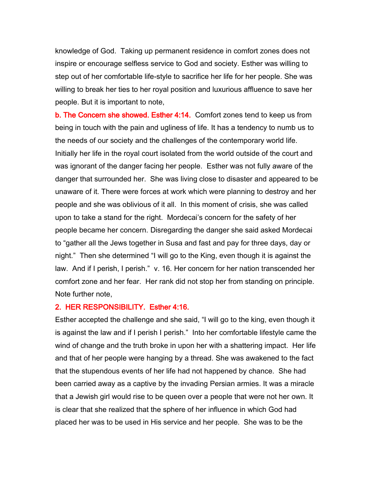knowledge of God. Taking up permanent residence in comfort zones does not inspire or encourage selfless service to God and society. Esther was willing to step out of her comfortable life-style to sacrifice her life for her people. She was willing to break her ties to her royal position and luxurious affluence to save her people. But it is important to note,

b. The Concern she showed. Esther 4:14. Comfort zones tend to keep us from being in touch with the pain and ugliness of life. It has a tendency to numb us to the needs of our society and the challenges of the contemporary world life. Initially her life in the royal court isolated from the world outside of the court and was ignorant of the danger facing her people. Esther was not fully aware of the danger that surrounded her. She was living close to disaster and appeared to be unaware of it. There were forces at work which were planning to destroy and her people and she was oblivious of it all. In this moment of crisis, she was called upon to take a stand for the right. Mordecai's concern for the safety of her people became her concern. Disregarding the danger she said asked Mordecai to "gather all the Jews together in Susa and fast and pay for three days, day or night." Then she determined "I will go to the King, even though it is against the law. And if I perish, I perish." v. 16. Her concern for her nation transcended her comfort zone and her fear. Her rank did not stop her from standing on principle. Note further note,

### 2. HER RESPONSIBILITY. Esther 4:16.

Esther accepted the challenge and she said, "I will go to the king, even though it is against the law and if I perish I perish." Into her comfortable lifestyle came the wind of change and the truth broke in upon her with a shattering impact. Her life and that of her people were hanging by a thread. She was awakened to the fact that the stupendous events of her life had not happened by chance. She had been carried away as a captive by the invading Persian armies. It was a miracle that a Jewish girl would rise to be queen over a people that were not her own. It is clear that she realized that the sphere of her influence in which God had placed her was to be used in His service and her people. She was to be the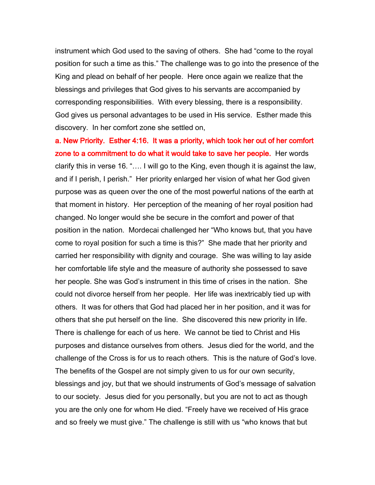instrument which God used to the saving of others. She had "come to the royal position for such a time as this." The challenge was to go into the presence of the King and plead on behalf of her people. Here once again we realize that the blessings and privileges that God gives to his servants are accompanied by corresponding responsibilities. With every blessing, there is a responsibility. God gives us personal advantages to be used in His service. Esther made this discovery. In her comfort zone she settled on,

a. New Priority. Esther 4:16. It was a priority, which took her out of her comfort zone to a commitment to do what it would take to save her people. Her words clarify this in verse 16. "…. I will go to the King, even though it is against the law, and if I perish, I perish." Her priority enlarged her vision of what her God given purpose was as queen over the one of the most powerful nations of the earth at that moment in history. Her perception of the meaning of her royal position had changed. No longer would she be secure in the comfort and power of that position in the nation. Mordecai challenged her "Who knows but, that you have come to royal position for such a time is this?" She made that her priority and carried her responsibility with dignity and courage. She was willing to lay aside her comfortable life style and the measure of authority she possessed to save her people. She was God's instrument in this time of crises in the nation. She could not divorce herself from her people. Her life was inextricably tied up with others. It was for others that God had placed her in her position, and it was for others that she put herself on the line. She discovered this new priority in life. There is challenge for each of us here. We cannot be tied to Christ and His purposes and distance ourselves from others. Jesus died for the world, and the challenge of the Cross is for us to reach others. This is the nature of God's love. The benefits of the Gospel are not simply given to us for our own security, blessings and joy, but that we should instruments of God's message of salvation to our society. Jesus died for you personally, but you are not to act as though you are the only one for whom He died. "Freely have we received of His grace and so freely we must give." The challenge is still with us "who knows that but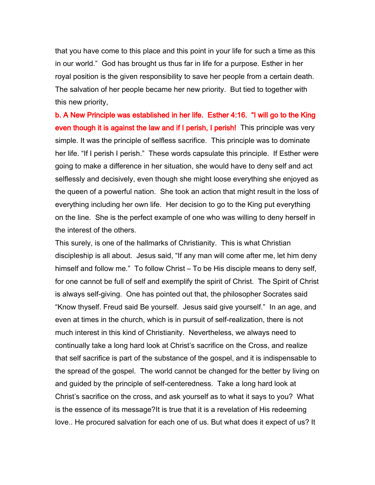that you have come to this place and this point in your life for such a time as this in our world." God has brought us thus far in life for a purpose. Esther in her royal position is the given responsibility to save her people from a certain death. The salvation of her people became her new priority. But tied to together with this new priority,

b. A New Principle was established in her life. Esther 4:16. "I will go to the King even though it is against the law and if I perish, I perish! This principle was very simple. It was the principle of selfless sacrifice. This principle was to dominate her life. "If I perish I perish." These words capsulate this principle. If Esther were going to make a difference in her situation, she would have to deny self and act selflessly and decisively, even though she might loose everything she enjoyed as the queen of a powerful nation. She took an action that might result in the loss of everything including her own life. Her decision to go to the King put everything on the line. She is the perfect example of one who was willing to deny herself in the interest of the others.

This surely, is one of the hallmarks of Christianity. This is what Christian discipleship is all about. Jesus said, "If any man will come after me, let him deny himself and follow me." To follow Christ – To be His disciple means to deny self, for one cannot be full of self and exemplify the spirit of Christ. The Spirit of Christ is always self-giving. One has pointed out that, the philosopher Socrates said "Know thyself. Freud said Be yourself. Jesus said give yourself." In an age, and even at times in the church, which is in pursuit of self-realization, there is not much interest in this kind of Christianity. Nevertheless, we always need to continually take a long hard look at Christ's sacrifice on the Cross, and realize that self sacrifice is part of the substance of the gospel, and it is indispensable to the spread of the gospel. The world cannot be changed for the better by living on and guided by the principle of self-centeredness. Take a long hard look at Christ's sacrifice on the cross, and ask yourself as to what it says to you? What is the essence of its message?It is true that it is a revelation of His redeeming love.. He procured salvation for each one of us. But what does it expect of us? It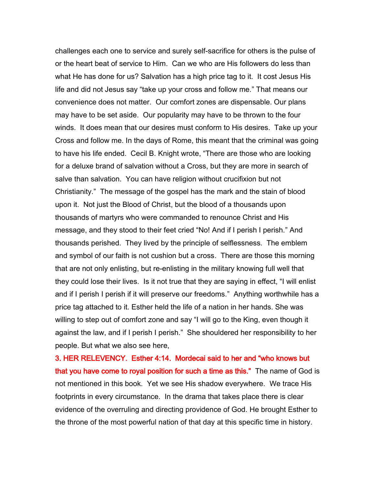challenges each one to service and surely self-sacrifice for others is the pulse of or the heart beat of service to Him. Can we who are His followers do less than what He has done for us? Salvation has a high price tag to it. It cost Jesus His life and did not Jesus say "take up your cross and follow me." That means our convenience does not matter. Our comfort zones are dispensable. Our plans may have to be set aside. Our popularity may have to be thrown to the four winds. It does mean that our desires must conform to His desires. Take up your Cross and follow me. In the days of Rome, this meant that the criminal was going to have his life ended. Cecil B. Knight wrote, "There are those who are looking for a deluxe brand of salvation without a Cross, but they are more in search of salve than salvation. You can have religion without crucifixion but not Christianity." The message of the gospel has the mark and the stain of blood upon it. Not just the Blood of Christ, but the blood of a thousands upon thousands of martyrs who were commanded to renounce Christ and His message, and they stood to their feet cried "No! And if I perish I perish." And thousands perished. They lived by the principle of selflessness. The emblem and symbol of our faith is not cushion but a cross. There are those this morning that are not only enlisting, but re-enlisting in the military knowing full well that they could lose their lives. Is it not true that they are saying in effect, "I will enlist and if I perish I perish if it will preserve our freedoms." Anything worthwhile has a price tag attached to it. Esther held the life of a nation in her hands. She was willing to step out of comfort zone and say "I will go to the King, even though it against the law, and if I perish I perish." She shouldered her responsibility to her people. But what we also see here,

3. HER RELEVENCY. Esther 4:14. Mordecai said to her and "who knows but that you have come to royal position for such a time as this." The name of God is not mentioned in this book. Yet we see His shadow everywhere. We trace His footprints in every circumstance. In the drama that takes place there is clear evidence of the overruling and directing providence of God. He brought Esther to the throne of the most powerful nation of that day at this specific time in history.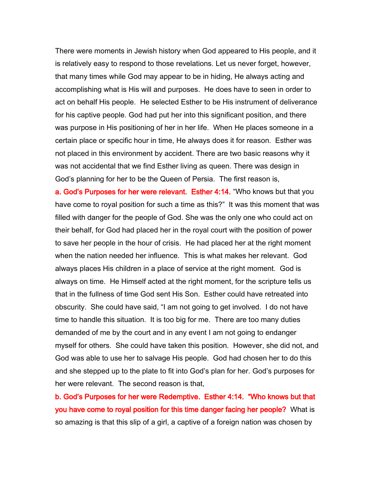There were moments in Jewish history when God appeared to His people, and it is relatively easy to respond to those revelations. Let us never forget, however, that many times while God may appear to be in hiding, He always acting and accomplishing what is His will and purposes. He does have to seen in order to act on behalf His people. He selected Esther to be His instrument of deliverance for his captive people. God had put her into this significant position, and there was purpose in His positioning of her in her life. When He places someone in a certain place or specific hour in time, He always does it for reason. Esther was not placed in this environment by accident. There are two basic reasons why it was not accidental that we find Esther living as queen. There was design in God's planning for her to be the Queen of Persia. The first reason is,

a. God's Purposes for her were relevant. Esther 4:14. "Who knows but that you have come to royal position for such a time as this?" It was this moment that was filled with danger for the people of God. She was the only one who could act on their behalf, for God had placed her in the royal court with the position of power to save her people in the hour of crisis. He had placed her at the right moment when the nation needed her influence. This is what makes her relevant. God always places His children in a place of service at the right moment. God is always on time. He Himself acted at the right moment, for the scripture tells us that in the fullness of time God sent His Son. Esther could have retreated into obscurity. She could have said, "I am not going to get involved. I do not have time to handle this situation. It is too big for me. There are too many duties demanded of me by the court and in any event I am not going to endanger myself for others. She could have taken this position. However, she did not, and God was able to use her to salvage His people. God had chosen her to do this and she stepped up to the plate to fit into God's plan for her. God's purposes for her were relevant. The second reason is that,

b. God's Purposes for her were Redemptive. Esther 4:14. "Who knows but that you have come to royal position for this time danger facing her people? What is so amazing is that this slip of a girl, a captive of a foreign nation was chosen by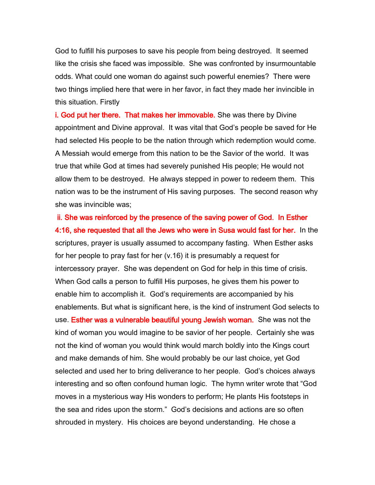God to fulfill his purposes to save his people from being destroyed. It seemed like the crisis she faced was impossible. She was confronted by insurmountable odds. What could one woman do against such powerful enemies? There were two things implied here that were in her favor, in fact they made her invincible in this situation. Firstly

i. God put her there. That makes her immovable. She was there by Divine appointment and Divine approval. It was vital that God's people be saved for He had selected His people to be the nation through which redemption would come. A Messiah would emerge from this nation to be the Savior of the world. It was true that while God at times had severely punished His people; He would not allow them to be destroyed. He always stepped in power to redeem them. This nation was to be the instrument of His saving purposes. The second reason why she was invincible was;

ii. She was reinforced by the presence of the saving power of God. In Esther 4:16, she requested that all the Jews who were in Susa would fast for her. In the scriptures, prayer is usually assumed to accompany fasting. When Esther asks for her people to pray fast for her (v.16) it is presumably a request for intercessory prayer. She was dependent on God for help in this time of crisis. When God calls a person to fulfill His purposes, he gives them his power to enable him to accomplish it. God's requirements are accompanied by his enablements. But what is significant here, is the kind of instrument God selects to use. Esther was a vulnerable beautiful young Jewish woman. She was not the kind of woman you would imagine to be savior of her people. Certainly she was not the kind of woman you would think would march boldly into the Kings court and make demands of him. She would probably be our last choice, yet God selected and used her to bring deliverance to her people. God's choices always interesting and so often confound human logic. The hymn writer wrote that "God moves in a mysterious way His wonders to perform; He plants His footsteps in the sea and rides upon the storm." God's decisions and actions are so often shrouded in mystery. His choices are beyond understanding. He chose a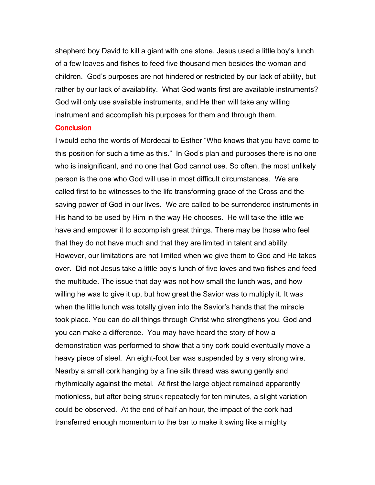shepherd boy David to kill a giant with one stone. Jesus used a little boy's lunch of a few loaves and fishes to feed five thousand men besides the woman and children. God's purposes are not hindered or restricted by our lack of ability, but rather by our lack of availability. What God wants first are available instruments? God will only use available instruments, and He then will take any willing instrument and accomplish his purposes for them and through them.

#### **Conclusion**

I would echo the words of Mordecai to Esther "Who knows that you have come to this position for such a time as this." In God's plan and purposes there is no one who is insignificant, and no one that God cannot use. So often, the most unlikely person is the one who God will use in most difficult circumstances. We are called first to be witnesses to the life transforming grace of the Cross and the saving power of God in our lives. We are called to be surrendered instruments in His hand to be used by Him in the way He chooses. He will take the little we have and empower it to accomplish great things. There may be those who feel that they do not have much and that they are limited in talent and ability. However, our limitations are not limited when we give them to God and He takes over. Did not Jesus take a little boy's lunch of five loves and two fishes and feed the multitude. The issue that day was not how small the lunch was, and how willing he was to give it up, but how great the Savior was to multiply it. It was when the little lunch was totally given into the Savior's hands that the miracle took place. You can do all things through Christ who strengthens you. God and you can make a difference. You may have heard the story of how a demonstration was performed to show that a tiny cork could eventually move a heavy piece of steel. An eight-foot bar was suspended by a very strong wire. Nearby a small cork hanging by a fine silk thread was swung gently and rhythmically against the metal. At first the large object remained apparently motionless, but after being struck repeatedly for ten minutes, a slight variation could be observed. At the end of half an hour, the impact of the cork had transferred enough momentum to the bar to make it swing like a mighty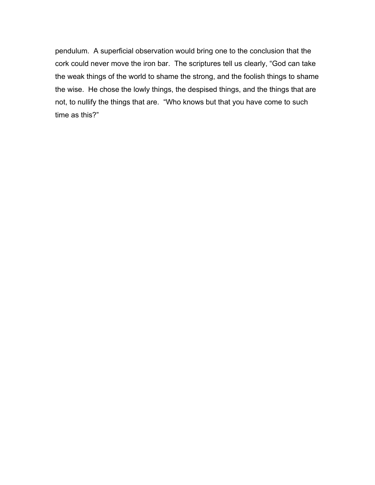pendulum. A superficial observation would bring one to the conclusion that the cork could never move the iron bar. The scriptures tell us clearly, "God can take the weak things of the world to shame the strong, and the foolish things to shame the wise. He chose the lowly things, the despised things, and the things that are not, to nullify the things that are. "Who knows but that you have come to such time as this?"